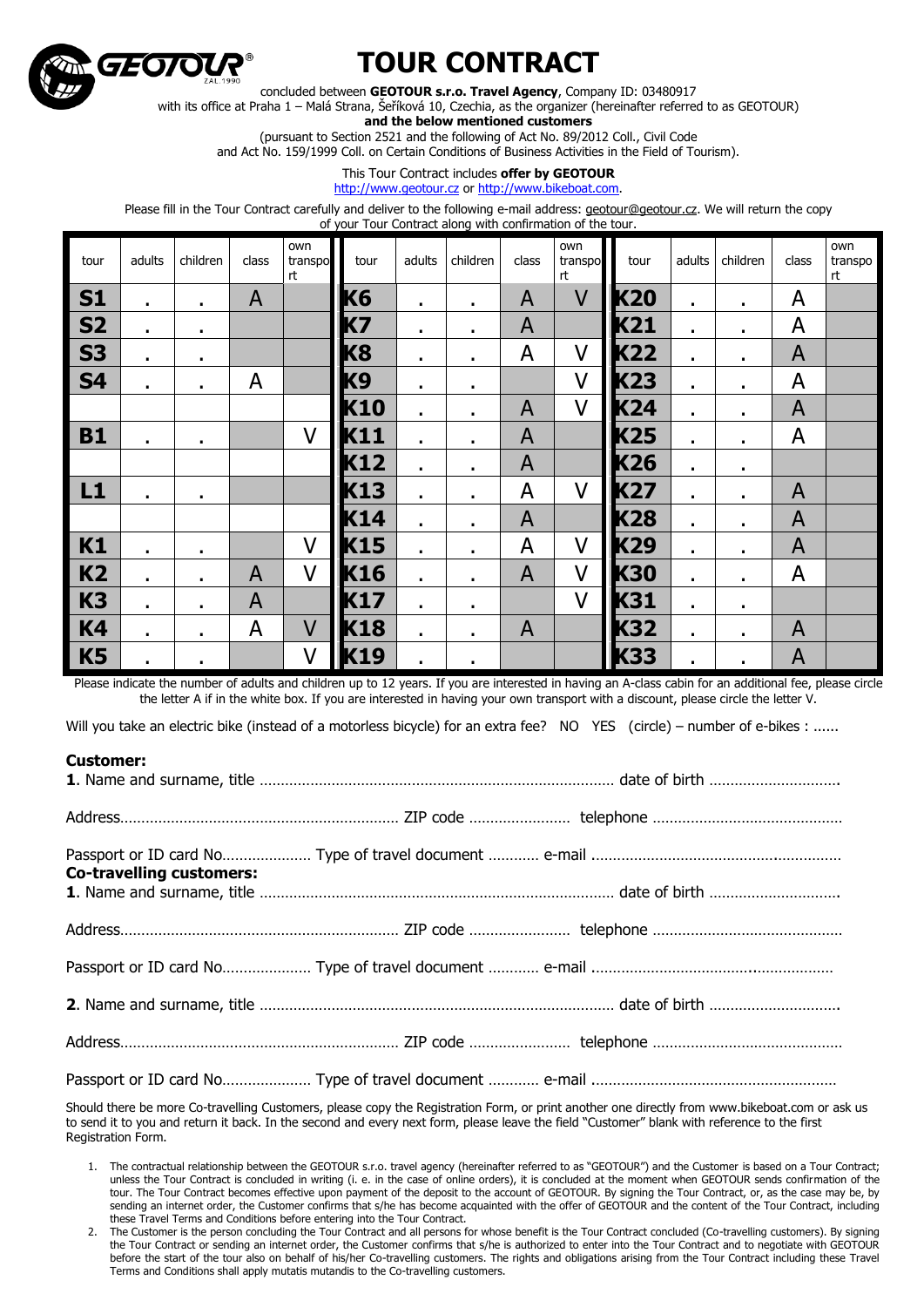

## **TOUR CONTRACT**

concluded between **GEOTOUR s.r.o. Travel Agency**, Company ID: 03480917

with its office at Praha 1 – Malá Strana, Šeříková 10, Czechia, as the organizer (hereinafter referred to as GEOTOUR)

**and the below mentioned customers**

(pursuant to Section 2521 and the following of Act No. 89/2012 Coll., Civil Code and Act No. 159/1999 Coll. on Certain Conditions of Business Activities in the Field of Tourism).

## This Tour Contract includes **offer by GEOTOUR**

[http://www.geotour.cz](http://www.geotour.cz/) or [http://www.bikeboat.com.](http://www.bikeboat.com/)

Please fill in the Tour Contract carefully and deliver to the following e-mail address[: geotour@geotour.cz.](mailto:geotour@geotour.cz) We will return the copy

of your Tour Contract along with confirmation of the tour.

| tour           | adults         | children       | class          | own<br>transpo<br>rt. | tour | adults         | children       | class          | own<br>transpo<br>rt | tour       | adults         | children       | class          | own<br>transpo<br>rt |
|----------------|----------------|----------------|----------------|-----------------------|------|----------------|----------------|----------------|----------------------|------------|----------------|----------------|----------------|----------------------|
| <b>S1</b>      | $\blacksquare$ | $\blacksquare$ | A              |                       | K6   | $\blacksquare$ | $\blacksquare$ | A              | V                    | K20        | $\blacksquare$ | $\blacksquare$ | A              |                      |
| <b>S2</b>      | $\blacksquare$ | $\blacksquare$ |                |                       | K7   | $\blacksquare$ | $\blacksquare$ | $\overline{A}$ |                      | K21        | $\blacksquare$ | $\blacksquare$ | A              |                      |
| <b>S3</b>      | $\blacksquare$ | $\blacksquare$ |                |                       | K8   | $\blacksquare$ | $\blacksquare$ | A              | V                    | K22        | $\blacksquare$ | $\blacksquare$ | $\overline{A}$ |                      |
| <b>S4</b>      | $\blacksquare$ | $\blacksquare$ | A              |                       | K9   | $\blacksquare$ | $\blacksquare$ |                | V                    | K23        | $\blacksquare$ | $\blacksquare$ | A              |                      |
|                |                |                |                |                       | K10  | $\blacksquare$ | $\blacksquare$ | A              | V                    | K24        | $\blacksquare$ | $\blacksquare$ | A              |                      |
| <b>B1</b>      | $\blacksquare$ | $\blacksquare$ |                | V                     | K11  | $\blacksquare$ | $\blacksquare$ | $\overline{A}$ |                      | K25        | $\blacksquare$ | $\blacksquare$ | A              |                      |
|                |                |                |                |                       | K12  | $\blacksquare$ | $\blacksquare$ | $\overline{A}$ |                      | K26        | $\blacksquare$ | $\blacksquare$ |                |                      |
| L1             | $\blacksquare$ | $\blacksquare$ |                |                       | K13  | $\blacksquare$ | $\blacksquare$ | A              | V                    | K27        | $\blacksquare$ | $\blacksquare$ | A              |                      |
|                |                |                |                |                       | K14  | $\blacksquare$ | $\blacksquare$ | $\overline{A}$ |                      | K28        | $\blacksquare$ | $\blacksquare$ | $\overline{A}$ |                      |
| K1             | $\blacksquare$ | ٠              |                | V                     | K15  | $\blacksquare$ | $\blacksquare$ | A              | V                    | K29        | $\blacksquare$ | $\blacksquare$ | A              |                      |
| K <sub>2</sub> | $\blacksquare$ | $\blacksquare$ | A              | V                     | K16  | $\blacksquare$ | $\blacksquare$ | $\overline{A}$ | V                    | <b>K30</b> | $\blacksquare$ | $\blacksquare$ | A              |                      |
| <b>K3</b>      | $\blacksquare$ | $\blacksquare$ | $\overline{A}$ |                       | K17  | $\blacksquare$ | $\blacksquare$ |                | V                    | K31        | $\blacksquare$ | ٠              |                |                      |
| <b>K4</b>      | $\blacksquare$ | $\blacksquare$ | A              | $\mathsf{V}$          | K18  | $\blacksquare$ | $\blacksquare$ | A              |                      | K32        | $\blacksquare$ | $\blacksquare$ | A              |                      |
| <b>K5</b>      | $\blacksquare$ | $\blacksquare$ |                | V                     | K19  | $\blacksquare$ | $\blacksquare$ |                |                      | K33        | $\blacksquare$ | $\blacksquare$ | A              |                      |

Please indicate the number of adults and children up to 12 years. If you are interested in having an A-class cabin for an additional fee, please circle the letter A if in the white box. If you are interested in having your own transport with a discount, please circle the letter V.

Will you take an electric bike (instead of a motorless bicycle) for an extra fee? NO YES (circle) – number of e-bikes : ......

## **Customer:**

| <b>Co-travelling customers:</b> |  |
|---------------------------------|--|
|                                 |  |
|                                 |  |
|                                 |  |
|                                 |  |
|                                 |  |

Should there be more Co-travelling Customers, please copy the Registration Form, or print another one directly from www.bikeboat.com or ask us to send it to you and return it back. In the second and every next form, please leave the field "Customer" blank with reference to the first Registration Form.

1. The contractual relationship between the GEOTOUR s.r.o. travel agency (hereinafter referred to as "GEOTOUR") and the Customer is based on a Tour Contract; unless the Tour Contract is concluded in writing (i. e. in the case of online orders), it is concluded at the moment when GEOTOUR sends confirmation of the tour. The Tour Contract becomes effective upon payment of the deposit to the account of GEOTOUR. By signing the Tour Contract, or, as the case may be, by sending an internet order, the Customer confirms that s/he has become acquainted with the offer of GEOTOUR and the content of the Tour Contract, including these Travel Terms and Conditions before entering into the Tour Contract.

<sup>2.</sup> The Customer is the person concluding the Tour Contract and all persons for whose benefit is the Tour Contract concluded (Co-travelling customers). By signing the Tour Contract or sending an internet order, the Customer confirms that s/he is authorized to enter into the Tour Contract and to negotiate with GEOTOUR before the start of the tour also on behalf of his/her Co-travelling customers. The rights and obligations arising from the Tour Contract including these Travel Terms and Conditions shall apply mutatis mutandis to the Co-travelling customers.